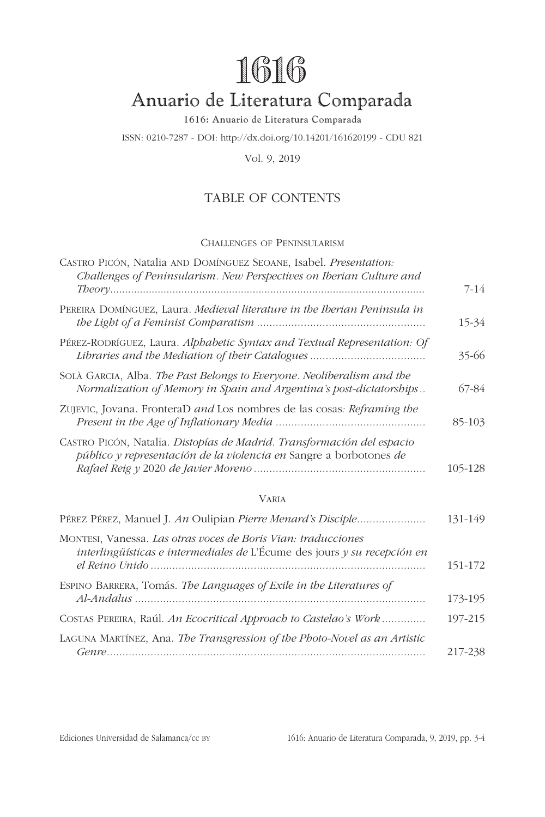# **1616**

# <span id="page-0-1"></span>Anuario de Literatura Comparada

1616: Anuario de Literatura Comparada

ISSN: 0210-7287 - DOI: http://dx.doi.org/10.14201/161620199 - CDU 821

Vol. 9, 2019

## TABLE OF CONTENTS

#### Challenges of Peninsularism

| $7 - 14$ |
|----------|
| 15-34    |
| 35-66    |
| 67-84    |
| 85-103   |
| 105-128  |
|          |

#### Varia

| PÉREZ PÉREZ, Manuel J. An Oulipian Pierre Menard's Disciple                                                                                   | 131-149 |
|-----------------------------------------------------------------------------------------------------------------------------------------------|---------|
| MONTESI, Vanessa. Las otras voces de Boris Vian: traducciones<br>$interlingüísticas$ e intermediales de L'Écume des jours $y$ su recepción en | 151-172 |
| ESPINO BARRERA, Tomás. The Languages of Exile in the Literatures of                                                                           |         |
|                                                                                                                                               | 173-195 |
| COSTAS PEREIRA, Raúl. An Ecocritical Approach to Castelao's Work                                                                              | 197-215 |
| LAGUNA MARTÍNEZ, Ana. The Transgression of the Photo-Novel as an Artistic                                                                     | 217-238 |

<span id="page-0-0"></span>